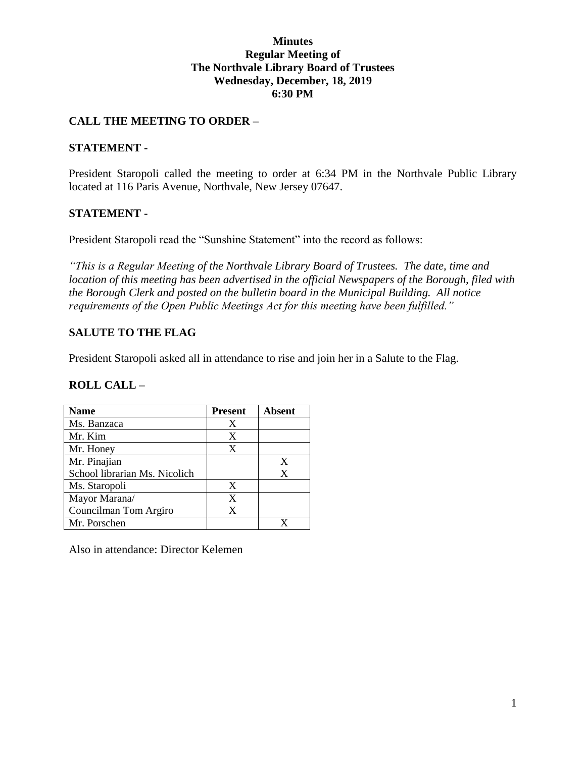#### **Minutes Regular Meeting of The Northvale Library Board of Trustees Wednesday, December, 18, 2019 6:30 PM**

### **CALL THE MEETING TO ORDER –**

#### **STATEMENT -**

President Staropoli called the meeting to order at 6:34 PM in the Northvale Public Library located at 116 Paris Avenue, Northvale, New Jersey 07647.

### **STATEMENT -**

President Staropoli read the "Sunshine Statement" into the record as follows:

*"This is a Regular Meeting of the Northvale Library Board of Trustees. The date, time and location of this meeting has been advertised in the official Newspapers of the Borough, filed with the Borough Clerk and posted on the bulletin board in the Municipal Building. All notice requirements of the Open Public Meetings Act for this meeting have been fulfilled."* 

### **SALUTE TO THE FLAG**

President Staropoli asked all in attendance to rise and join her in a Salute to the Flag.

#### **ROLL CALL –**

| <b>Name</b>                   | <b>Present</b> | Absent |
|-------------------------------|----------------|--------|
| Ms. Banzaca                   | X              |        |
| Mr. Kim                       | X              |        |
| Mr. Honey                     | X              |        |
| Mr. Pinajian                  |                | X      |
| School librarian Ms. Nicolich |                | X      |
| Ms. Staropoli                 | X              |        |
| Mayor Marana/                 | X              |        |
| Councilman Tom Argiro         | X              |        |
| Mr. Porschen                  |                |        |

Also in attendance: Director Kelemen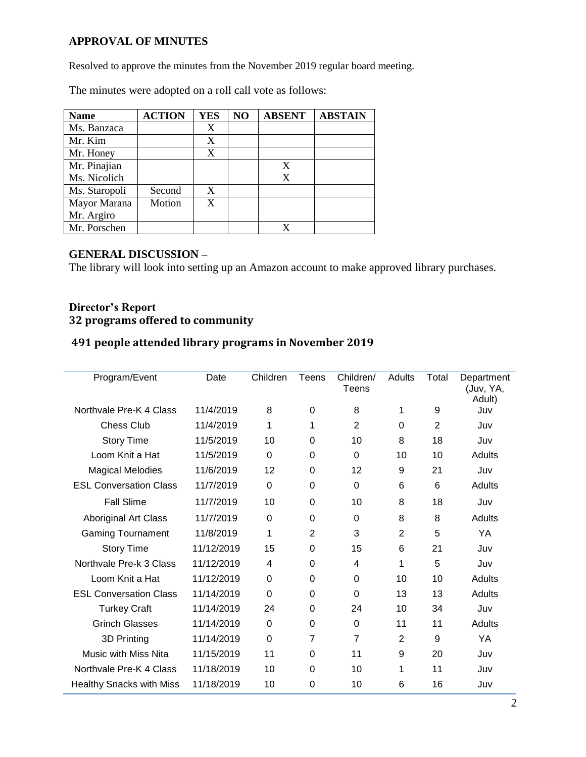### **APPROVAL OF MINUTES**

Resolved to approve the minutes from the November 2019 regular board meeting.

The minutes were adopted on a roll call vote as follows:

| <b>Name</b>   | <b>ACTION</b> | <b>YES</b> | NO | <b>ABSENT</b> | <b>ABSTAIN</b> |
|---------------|---------------|------------|----|---------------|----------------|
| Ms. Banzaca   |               | X          |    |               |                |
| Mr. Kim       |               | X          |    |               |                |
| Mr. Honey     |               | X          |    |               |                |
| Mr. Pinajian  |               |            |    | X             |                |
| Ms. Nicolich  |               |            |    | X             |                |
| Ms. Staropoli | Second        | X          |    |               |                |
| Mayor Marana  | Motion        | X          |    |               |                |
| Mr. Argiro    |               |            |    |               |                |
| Mr. Porschen  |               |            |    |               |                |

### **GENERAL DISCUSSION –**

The library will look into setting up an Amazon account to make approved library purchases.

### **Director's Report 32 programs offered to community**

#### **491 people attended library programs in November 2019**

| Program/Event                   | Date       | Children | Teens          | Children/<br>Teens | Adults         | Total          | Department<br>(Juv, YA,<br>Adult) |
|---------------------------------|------------|----------|----------------|--------------------|----------------|----------------|-----------------------------------|
| Northvale Pre-K 4 Class         | 11/4/2019  | 8        | $\Omega$       | 8                  | 1              | 9              | Juv                               |
| <b>Chess Club</b>               | 11/4/2019  | 1        | 1              | 2                  | $\Omega$       | $\overline{2}$ | Juv                               |
| <b>Story Time</b>               | 11/5/2019  | 10       | 0              | 10                 | 8              | 18             | Juv                               |
| Loom Knit a Hat                 | 11/5/2019  | 0        | $\Omega$       | 0                  | 10             | 10             | Adults                            |
| <b>Magical Melodies</b>         | 11/6/2019  | 12       | 0              | 12                 | 9              | 21             | Juv                               |
| <b>ESL Conversation Class</b>   | 11/7/2019  | $\Omega$ | 0              | $\Omega$           | 6              | 6              | Adults                            |
| <b>Fall Slime</b>               | 11/7/2019  | 10       | $\Omega$       | 10                 | 8              | 18             | Juv                               |
| Aboriginal Art Class            | 11/7/2019  | $\Omega$ | $\Omega$       | $\Omega$           | 8              | 8              | Adults                            |
| <b>Gaming Tournament</b>        | 11/8/2019  | 1        | $\overline{2}$ | 3                  | $\overline{2}$ | 5              | YA                                |
| <b>Story Time</b>               | 11/12/2019 | 15       | $\Omega$       | 15                 | 6              | 21             | Juv                               |
| Northvale Pre-k 3 Class         | 11/12/2019 | 4        | $\Omega$       | 4                  | 1              | 5              | Juv                               |
| Loom Knit a Hat                 | 11/12/2019 | 0        | 0              | 0                  | 10             | 10             | Adults                            |
| <b>ESL Conversation Class</b>   | 11/14/2019 | $\Omega$ | 0              | $\Omega$           | 13             | 13             | Adults                            |
| <b>Turkey Craft</b>             | 11/14/2019 | 24       | $\Omega$       | 24                 | 10             | 34             | Juv                               |
| <b>Grinch Glasses</b>           | 11/14/2019 | 0        | 0              | $\Omega$           | 11             | 11             | Adults                            |
| 3D Printing                     | 11/14/2019 | 0        | $\overline{7}$ | 7                  | $\overline{2}$ | 9              | YA                                |
| <b>Music with Miss Nita</b>     | 11/15/2019 | 11       | 0              | 11                 | 9              | 20             | Juv                               |
| Northvale Pre-K 4 Class         | 11/18/2019 | 10       | $\Omega$       | 10                 | 1              | 11             | Juv                               |
| <b>Healthy Snacks with Miss</b> | 11/18/2019 | 10       | 0              | 10                 | 6              | 16             | Juv                               |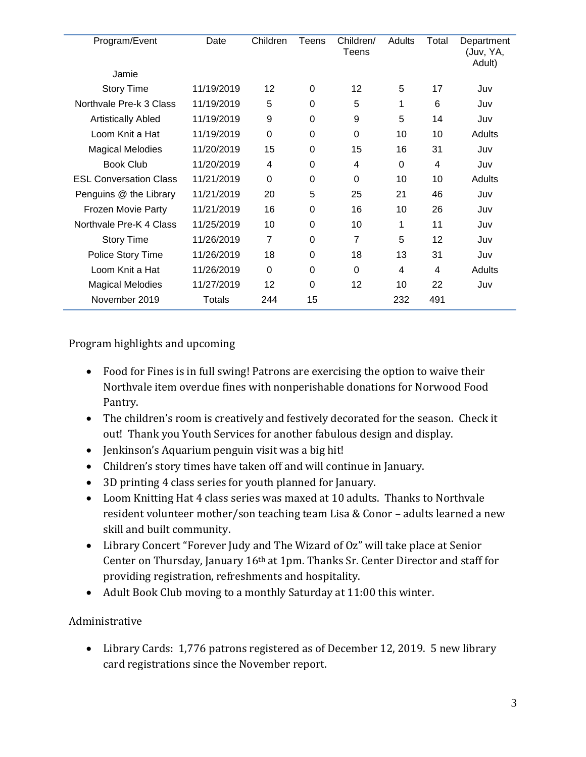| Program/Event                 | Date       | Children       | Teens    | Children/<br><b>Teens</b> | Adults | Total | Department<br>(Juv, YA,<br>Adult) |
|-------------------------------|------------|----------------|----------|---------------------------|--------|-------|-----------------------------------|
| Jamie                         |            |                |          |                           |        |       |                                   |
| <b>Story Time</b>             | 11/19/2019 | 12             | 0        | 12                        | 5      | 17    | Juv                               |
| Northvale Pre-k 3 Class       | 11/19/2019 | 5              | 0        | 5                         | 1      | 6     | Juv                               |
| <b>Artistically Abled</b>     | 11/19/2019 | 9              | 0        | 9                         | 5      | 14    | Juv                               |
| Loom Knit a Hat               | 11/19/2019 | $\Omega$       | 0        | 0                         | 10     | 10    | Adults                            |
| <b>Magical Melodies</b>       | 11/20/2019 | 15             | 0        | 15                        | 16     | 31    | Juv                               |
| <b>Book Club</b>              | 11/20/2019 | 4              | 0        | 4                         | 0      | 4     | Juv                               |
| <b>ESL Conversation Class</b> | 11/21/2019 | $\Omega$       | 0        | 0                         | 10     | 10    | Adults                            |
| Penguins @ the Library        | 11/21/2019 | 20             | 5        | 25                        | 21     | 46    | Juv                               |
| Frozen Movie Party            | 11/21/2019 | 16             | 0        | 16                        | 10     | 26    | Juv                               |
| Northvale Pre-K 4 Class       | 11/25/2019 | 10             | 0        | 10                        | 1      | 11    | Juv                               |
| <b>Story Time</b>             | 11/26/2019 | $\overline{7}$ | $\Omega$ | 7                         | 5      | 12    | Juv                               |
| Police Story Time             | 11/26/2019 | 18             | 0        | 18                        | 13     | 31    | Juv                               |
| Loom Knit a Hat               | 11/26/2019 | $\Omega$       | $\Omega$ | $\Omega$                  | 4      | 4     | Adults                            |
| <b>Magical Melodies</b>       | 11/27/2019 | 12             | 0        | 12                        | 10     | 22    | Juv                               |
| November 2019                 | Totals     | 244            | 15       |                           | 232    | 491   |                                   |

Program highlights and upcoming

- Food for Fines is in full swing! Patrons are exercising the option to waive their Northvale item overdue fines with nonperishable donations for Norwood Food Pantry.
- The children's room is creatively and festively decorated for the season. Check it out! Thank you Youth Services for another fabulous design and display.
- Jenkinson's Aquarium penguin visit was a big hit!
- Children's story times have taken off and will continue in January.
- 3D printing 4 class series for youth planned for January.
- Loom Knitting Hat 4 class series was maxed at 10 adults. Thanks to Northvale resident volunteer mother/son teaching team Lisa & Conor – adults learned a new skill and built community.
- Library Concert "Forever Judy and The Wizard of Oz" will take place at Senior Center on Thursday, January 16th at 1pm. Thanks Sr. Center Director and staff for providing registration, refreshments and hospitality.
- Adult Book Club moving to a monthly Saturday at 11:00 this winter.

# Administrative

 Library Cards: 1,776 patrons registered as of December 12, 2019. 5 new library card registrations since the November report.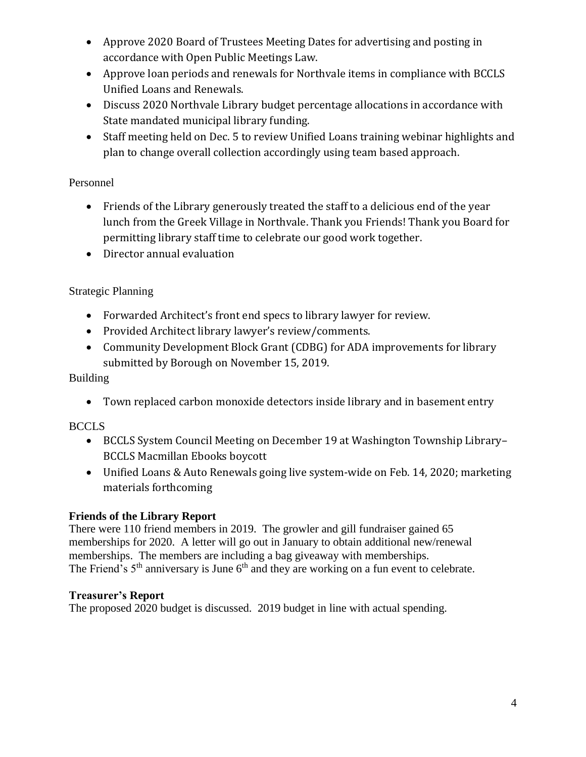- Approve 2020 Board of Trustees Meeting Dates for advertising and posting in accordance with Open Public Meetings Law.
- Approve loan periods and renewals for Northvale items in compliance with BCCLS Unified Loans and Renewals.
- Discuss 2020 Northvale Library budget percentage allocations in accordance with State mandated municipal library funding.
- Staff meeting held on Dec. 5 to review Unified Loans training webinar highlights and plan to change overall collection accordingly using team based approach.

## Personnel

- Friends of the Library generously treated the staff to a delicious end of the year lunch from the Greek Village in Northvale. Thank you Friends! Thank you Board for permitting library staff time to celebrate our good work together.
- Director annual evaluation

# Strategic Planning

- Forwarded Architect's front end specs to library lawyer for review.
- Provided Architect library lawyer's review/comments.
- Community Development Block Grant (CDBG) for ADA improvements for library submitted by Borough on November 15, 2019.

# Building

Town replaced carbon monoxide detectors inside library and in basement entry

# **BCCLS**

- BCCLS System Council Meeting on December 19 at Washington Township Library– BCCLS Macmillan Ebooks boycott
- Unified Loans & Auto Renewals going live system-wide on Feb. 14, 2020; marketing materials forthcoming

# **Friends of the Library Report**

There were 110 friend members in 2019. The growler and gill fundraiser gained 65 memberships for 2020. A letter will go out in January to obtain additional new/renewal memberships. The members are including a bag giveaway with memberships. The Friend's  $5<sup>th</sup>$  anniversary is June  $6<sup>th</sup>$  and they are working on a fun event to celebrate.

### **Treasurer's Report**

The proposed 2020 budget is discussed. 2019 budget in line with actual spending.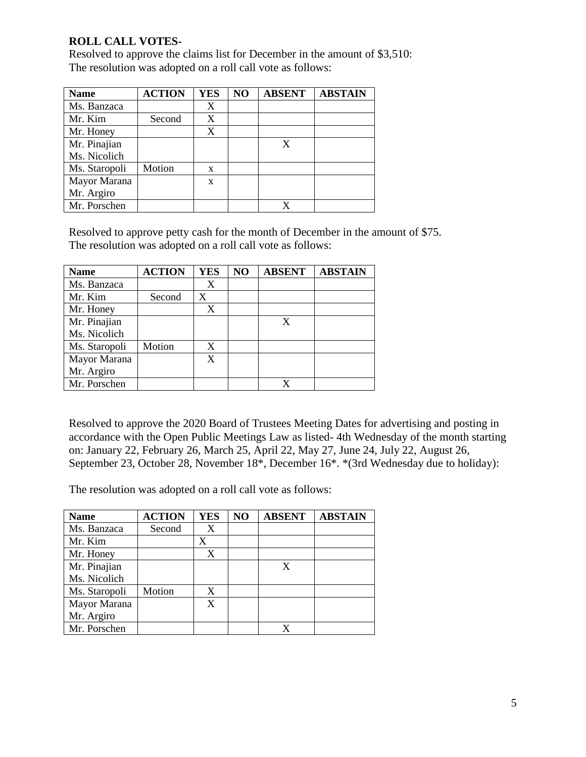### **ROLL CALL VOTES-**

Resolved to approve the claims list for December in the amount of \$3,510: The resolution was adopted on a roll call vote as follows:

| <b>Name</b>   | <b>ACTION</b> | <b>YES</b> | N <sub>O</sub> | <b>ABSENT</b> | <b>ABSTAIN</b> |
|---------------|---------------|------------|----------------|---------------|----------------|
| Ms. Banzaca   |               | X          |                |               |                |
| Mr. Kim       | Second        | X          |                |               |                |
| Mr. Honey     |               | X          |                |               |                |
| Mr. Pinajian  |               |            |                |               |                |
| Ms. Nicolich  |               |            |                |               |                |
| Ms. Staropoli | Motion        | X          |                |               |                |
| Mayor Marana  |               | X          |                |               |                |
| Mr. Argiro    |               |            |                |               |                |
| Mr. Porschen  |               |            |                |               |                |

Resolved to approve petty cash for the month of December in the amount of \$75. The resolution was adopted on a roll call vote as follows:

| <b>Name</b>   | <b>ACTION</b> | <b>YES</b> | NO | <b>ABSENT</b> | <b>ABSTAIN</b> |
|---------------|---------------|------------|----|---------------|----------------|
| Ms. Banzaca   |               | X          |    |               |                |
| Mr. Kim       | Second        | X          |    |               |                |
| Mr. Honey     |               | X          |    |               |                |
| Mr. Pinajian  |               |            |    | $\mathbf x$   |                |
| Ms. Nicolich  |               |            |    |               |                |
| Ms. Staropoli | Motion        | X          |    |               |                |
| Mayor Marana  |               | X          |    |               |                |
| Mr. Argiro    |               |            |    |               |                |
| Mr. Porschen  |               |            |    | X             |                |

Resolved to approve the 2020 Board of Trustees Meeting Dates for advertising and posting in accordance with the Open Public Meetings Law as listed- 4th Wednesday of the month starting on: January 22, February 26, March 25, April 22, May 27, June 24, July 22, August 26, September 23, October 28, November 18\*, December 16\*. \*(3rd Wednesday due to holiday):

The resolution was adopted on a roll call vote as follows:

| <b>Name</b>   | <b>ACTION</b> | <b>YES</b> | NO | <b>ABSENT</b> | <b>ABSTAIN</b> |
|---------------|---------------|------------|----|---------------|----------------|
| Ms. Banzaca   | Second        | X          |    |               |                |
| Mr. Kim       |               | X          |    |               |                |
| Mr. Honey     |               | X          |    |               |                |
| Mr. Pinajian  |               |            |    | X             |                |
| Ms. Nicolich  |               |            |    |               |                |
| Ms. Staropoli | Motion        | X          |    |               |                |
| Mayor Marana  |               | X          |    |               |                |
| Mr. Argiro    |               |            |    |               |                |
| Mr. Porschen  |               |            |    |               |                |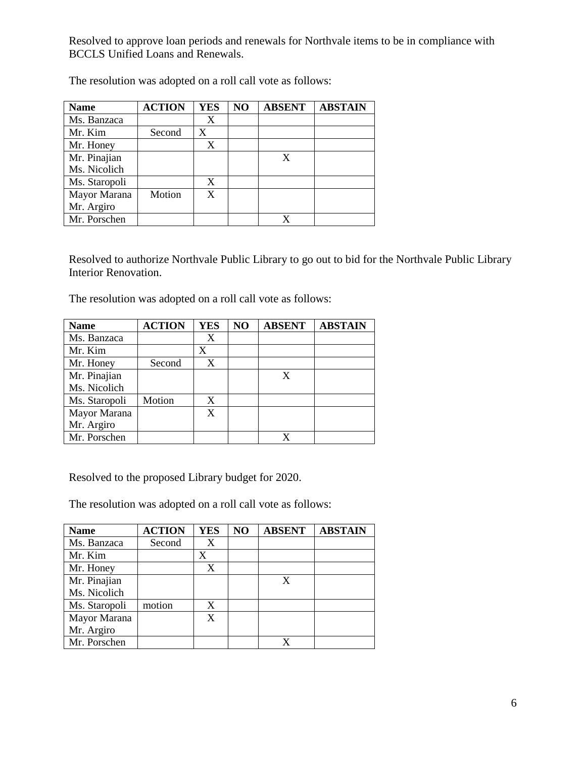Resolved to approve loan periods and renewals for Northvale items to be in compliance with BCCLS Unified Loans and Renewals.

| <b>Name</b>   | <b>ACTION</b> | <b>YES</b> | NO | <b>ABSENT</b> | <b>ABSTAIN</b> |
|---------------|---------------|------------|----|---------------|----------------|
| Ms. Banzaca   |               | X          |    |               |                |
| Mr. Kim       | Second        | X          |    |               |                |
| Mr. Honey     |               | X          |    |               |                |
| Mr. Pinajian  |               |            |    | X             |                |
| Ms. Nicolich  |               |            |    |               |                |
| Ms. Staropoli |               | X          |    |               |                |
| Mayor Marana  | Motion        | X          |    |               |                |
| Mr. Argiro    |               |            |    |               |                |
| Mr. Porschen  |               |            |    |               |                |

The resolution was adopted on a roll call vote as follows:

Resolved to authorize Northvale Public Library to go out to bid for the Northvale Public Library Interior Renovation.

The resolution was adopted on a roll call vote as follows:

| <b>Name</b>   | <b>ACTION</b> | <b>YES</b> | NO | <b>ABSENT</b> | <b>ABSTAIN</b> |
|---------------|---------------|------------|----|---------------|----------------|
| Ms. Banzaca   |               | X          |    |               |                |
| Mr. Kim       |               | X          |    |               |                |
| Mr. Honey     | Second        | X          |    |               |                |
| Mr. Pinajian  |               |            |    | X             |                |
| Ms. Nicolich  |               |            |    |               |                |
| Ms. Staropoli | Motion        | X          |    |               |                |
| Mayor Marana  |               | X          |    |               |                |
| Mr. Argiro    |               |            |    |               |                |
| Mr. Porschen  |               |            |    |               |                |

Resolved to the proposed Library budget for 2020.

The resolution was adopted on a roll call vote as follows:

| <b>Name</b>   | <b>ACTION</b> | <b>YES</b> | NO | <b>ABSENT</b> | <b>ABSTAIN</b> |
|---------------|---------------|------------|----|---------------|----------------|
| Ms. Banzaca   | Second        | X          |    |               |                |
| Mr. Kim       |               | X          |    |               |                |
| Mr. Honey     |               | X          |    |               |                |
| Mr. Pinajian  |               |            |    | X             |                |
| Ms. Nicolich  |               |            |    |               |                |
| Ms. Staropoli | motion        | X          |    |               |                |
| Mayor Marana  |               | X          |    |               |                |
| Mr. Argiro    |               |            |    |               |                |
| Mr. Porschen  |               |            |    |               |                |